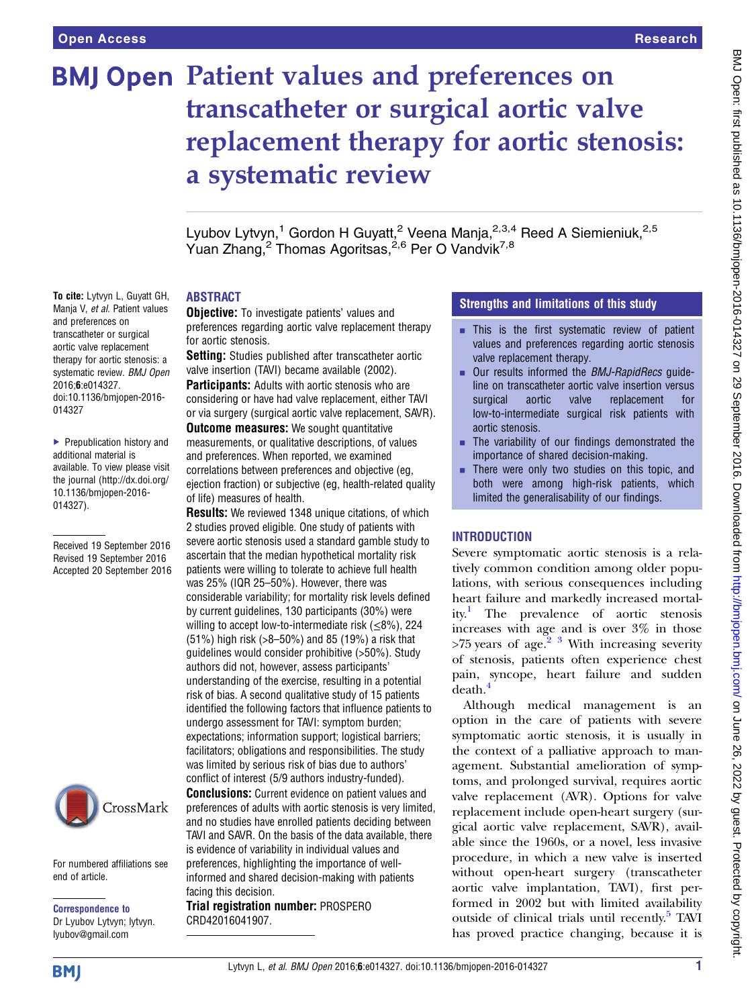To cite: Lytvyn L, Guyatt GH, Manja V, et al. Patient values and preferences on transcatheter or surgical aortic valve replacement therapy for aortic stenosis: a systematic review. BMJ Open

doi:10.1136/bmjopen-2016-

▶ Prepublication history and additional material is available. To view please visit the journal [\(http://dx.doi.org/](http://dx.doi.org/10.1136/bmjopen-2016-014327) [10.1136/bmjopen-2016-](http://dx.doi.org/10.1136/bmjopen-2016-014327)

Received 19 September 2016 Revised 19 September 2016 Accepted 20 September 2016

For numbered affiliations see

CrossMark

end of article.

Correspondence to Dr Lyubov Lytvyn; lytvyn. lyubov@gmail.com

2016;6:e014327.

014327

[014327\)](http://dx.doi.org/10.1136/bmjopen-2016-014327).

# **BMJ Open Patient values and preferences on** transcatheter or surgical aortic valve replacement therapy for aortic stenosis: a systematic review

Lyubov Lytvyn,<sup>1</sup> Gordon H Guyatt,<sup>2</sup> Veena Manja,<sup>2,3,4</sup> Reed A Siemieniuk,<sup>2,5</sup> Yuan Zhang,<sup>2</sup> Thomas Agoritsas,<sup>2,6</sup> Per O Vandvik<sup>7,8</sup>

### ABSTRACT

**Objective:** To investigate patients' values and preferences regarding aortic valve replacement therapy for aortic stenosis.

Setting: Studies published after transcatheter aortic valve insertion (TAVI) became available (2002).

**Participants:** Adults with aortic stenosis who are considering or have had valve replacement, either TAVI or via surgery (surgical aortic valve replacement, SAVR).

**Outcome measures:** We sought quantitative measurements, or qualitative descriptions, of values and preferences. When reported, we examined correlations between preferences and objective (eg, ejection fraction) or subjective (eg, health-related quality of life) measures of health.

**Results:** We reviewed 1348 unique citations, of which 2 studies proved eligible. One study of patients with severe aortic stenosis used a standard gamble study to ascertain that the median hypothetical mortality risk patients were willing to tolerate to achieve full health was 25% (IQR 25–50%). However, there was considerable variability; for mortality risk levels defined by current guidelines, 130 participants (30%) were willing to accept low-to-intermediate risk (≤8%), 224 (51%) high risk (>8–50%) and 85 (19%) a risk that guidelines would consider prohibitive (>50%). Study authors did not, however, assess participants' understanding of the exercise, resulting in a potential risk of bias. A second qualitative study of 15 patients identified the following factors that influence patients to undergo assessment for TAVI: symptom burden; expectations; information support; logistical barriers; facilitators; obligations and responsibilities. The study was limited by serious risk of bias due to authors' conflict of interest (5/9 authors industry-funded). **Conclusions:** Current evidence on patient values and preferences of adults with aortic stenosis is very limited,

and no studies have enrolled patients deciding between TAVI and SAVR. On the basis of the data available, there is evidence of variability in individual values and preferences, highlighting the importance of wellinformed and shared decision-making with patients facing this decision.

Trial registration number: PROSPERO CRD42016041907.

#### Strengths and limitations of this study

- $\blacksquare$  This is the first systematic review of patient values and preferences regarding aortic stenosis valve replacement therapy.
- Our results informed the BMJ-RapidRecs quideline on transcatheter aortic valve insertion versus surgical aortic valve replacement for low-to-intermediate surgical risk patients with aortic stenosis.
- **•** The variability of our findings demonstrated the importance of shared decision-making.
- $\blacksquare$  There were only two studies on this topic, and both were among high-risk patients, which limited the generalisability of our findings.

#### **INTRODUCTION**

Severe symptomatic aortic stenosis is a relatively common condition among older populations, with serious consequences including heart failure and markedly increased mortality.[1](#page-5-0) The prevalence of aortic stenosis increases with age and is over 3% in those >75 years of age. $2^{\frac{9}{2} \cdot 3}$  With increasing severity of stenosis, patients often experience chest pain, syncope, heart failure and sudden  $death.<sup>4</sup>$  $death.<sup>4</sup>$  $death.<sup>4</sup>$ 

Although medical management is an option in the care of patients with severe symptomatic aortic stenosis, it is usually in the context of a palliative approach to management. Substantial amelioration of symptoms, and prolonged survival, requires aortic valve replacement (AVR). Options for valve replacement include open-heart surgery (surgical aortic valve replacement, SAVR), available since the 1960s, or a novel, less invasive procedure, in which a new valve is inserted without open-heart surgery (transcatheter aortic valve implantation, TAVI), first performed in 2002 but with limited availability outside of clinical trials until recently.<sup>[5](#page-5-0)</sup> TAVI has proved practice changing, because it is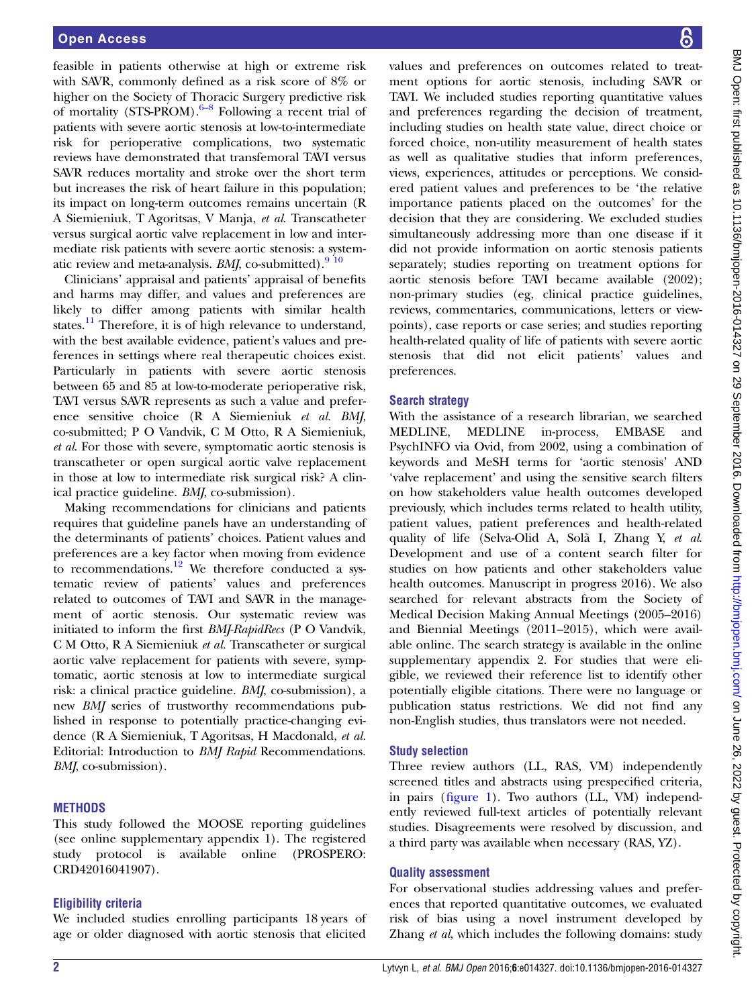feasible in patients otherwise at high or extreme risk with SAVR, commonly defined as a risk score of 8% or higher on the Society of T[ho](#page-5-0)racic Surgery predictive risk of mortality (STS-PROM). $6-8$  Following a recent trial of patients with severe aortic stenosis at low-to-intermediate risk for perioperative complications, two systematic reviews have demonstrated that transfemoral TAVI versus SAVR reduces mortality and stroke over the short term but increases the risk of heart failure in this population; its impact on long-term outcomes remains uncertain (R A Siemieniuk, T Agoritsas, V Manja, et al. Transcatheter versus surgical aortic valve replacement in low and intermediate risk patients with severe aortic stenosis: a systematic review and meta-analysis. BMJ, co-submitted). $\frac{9}{10}$ 

Clinicians' appraisal and patients' appraisal of benefits and harms may differ, and values and preferences are likely to differ among patients with similar health states. $11$  Therefore, it is of high relevance to understand, with the best available evidence, patient's values and preferences in settings where real therapeutic choices exist. Particularly in patients with severe aortic stenosis between 65 and 85 at low-to-moderate perioperative risk, TAVI versus SAVR represents as such a value and preference sensitive choice (R A Siemieniuk et al. BMJ, co-submitted; P O Vandvik, C M Otto, R A Siemieniuk, et al. For those with severe, symptomatic aortic stenosis is transcatheter or open surgical aortic valve replacement in those at low to intermediate risk surgical risk? A clinical practice guideline. BMJ, co-submission).

Making recommendations for clinicians and patients requires that guideline panels have an understanding of the determinants of patients' choices. Patient values and preferences are a key factor when moving from evidence to recommendations.<sup>[12](#page-5-0)</sup> We therefore conducted a systematic review of patients' values and preferences related to outcomes of TAVI and SAVR in the management of aortic stenosis. Our systematic review was initiated to inform the first BMJ-RapidRecs (P O Vandvik, C M Otto, R A Siemieniuk et al. Transcatheter or surgical aortic valve replacement for patients with severe, symptomatic, aortic stenosis at low to intermediate surgical risk: a clinical practice guideline. BMJ, co-submission), a new BMJ series of trustworthy recommendations published in response to potentially practice-changing evidence (R A Siemieniuk, T Agoritsas, H Macdonald, et al. Editorial: Introduction to BMJ Rapid Recommendations. BMJ, co-submission).

#### **METHODS**

This study followed the MOOSE reporting guidelines (see online [supplementary appendix 1](http://dx.doi.org/10.1136/bmjopen-2016-014327)). The registered study protocol is available online (PROSPERO: CRD42016041907).

#### Eligibility criteria

We included studies enrolling participants 18 years of age or older diagnosed with aortic stenosis that elicited

values and preferences on outcomes related to treatment options for aortic stenosis, including SAVR or TAVI. We included studies reporting quantitative values and preferences regarding the decision of treatment, including studies on health state value, direct choice or forced choice, non-utility measurement of health states as well as qualitative studies that inform preferences, views, experiences, attitudes or perceptions. We considered patient values and preferences to be 'the relative importance patients placed on the outcomes' for the decision that they are considering. We excluded studies simultaneously addressing more than one disease if it did not provide information on aortic stenosis patients separately; studies reporting on treatment options for aortic stenosis before TAVI became available (2002); non-primary studies (eg, clinical practice guidelines, reviews, commentaries, communications, letters or viewpoints), case reports or case series; and studies reporting health-related quality of life of patients with severe aortic stenosis that did not elicit patients' values and preferences.

#### Search strategy

With the assistance of a research librarian, we searched MEDLINE, MEDLINE in-process, EMBASE and PsychINFO via Ovid, from 2002, using a combination of keywords and MeSH terms for 'aortic stenosis' AND 'valve replacement' and using the sensitive search filters on how stakeholders value health outcomes developed previously, which includes terms related to health utility, patient values, patient preferences and health-related quality of life (Selva-Olid A, Solà I, Zhang Y, et al. Development and use of a content search filter for studies on how patients and other stakeholders value health outcomes. Manuscript in progress 2016). We also searched for relevant abstracts from the Society of Medical Decision Making Annual Meetings (2005–2016) and Biennial Meetings (2011–2015), which were available online. The search strategy is available in the online [supplementary appendix 2](http://dx.doi.org/10.1136/bmjopen-2016-014327). For studies that were eligible, we reviewed their reference list to identify other potentially eligible citations. There were no language or publication status restrictions. We did not find any non-English studies, thus translators were not needed.

#### Study selection

Three review authors (LL, RAS, VM) independently screened titles and abstracts using prespecified criteria, in pairs (fi[gure 1\)](#page-2-0). Two authors (LL, VM) independently reviewed full-text articles of potentially relevant studies. Disagreements were resolved by discussion, and a third party was available when necessary (RAS, YZ).

#### Quality assessment

For observational studies addressing values and preferences that reported quantitative outcomes, we evaluated risk of bias using a novel instrument developed by Zhang et al, which includes the following domains: study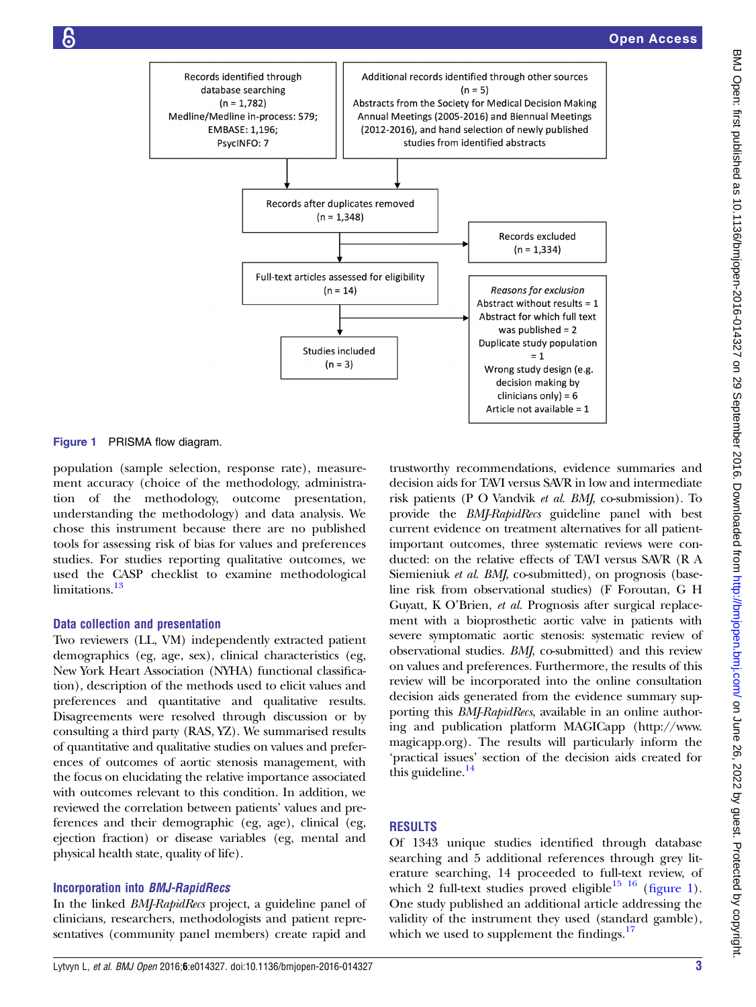<span id="page-2-0"></span>

Figure 1 PRISMA flow diagram.

population (sample selection, response rate), measurement accuracy (choice of the methodology, administration of the methodology, outcome presentation, understanding the methodology) and data analysis. We chose this instrument because there are no published tools for assessing risk of bias for values and preferences studies. For studies reporting qualitative outcomes, we used the CASP checklist to examine methodological limitations.<sup>[13](#page-5-0)</sup>

#### Data collection and presentation

Two reviewers (LL, VM) independently extracted patient demographics (eg, age, sex), clinical characteristics (eg, New York Heart Association (NYHA) functional classification), description of the methods used to elicit values and preferences and quantitative and qualitative results. Disagreements were resolved through discussion or by consulting a third party (RAS, YZ). We summarised results of quantitative and qualitative studies on values and preferences of outcomes of aortic stenosis management, with the focus on elucidating the relative importance associated with outcomes relevant to this condition. In addition, we reviewed the correlation between patients' values and preferences and their demographic (eg, age), clinical (eg, ejection fraction) or disease variables (eg, mental and physical health state, quality of life).

#### Incorporation into BMJ-RapidRecs

In the linked BMJ-RapidRecs project, a guideline panel of clinicians, researchers, methodologists and patient representatives (community panel members) create rapid and

trustworthy recommendations, evidence summaries and decision aids for TAVI versus SAVR in low and intermediate risk patients (P O Vandvik et al. BMJ, co-submission). To provide the BMJ-RapidRecs guideline panel with best current evidence on treatment alternatives for all patientimportant outcomes, three systematic reviews were conducted: on the relative effects of TAVI versus SAVR (R A Siemieniuk et al. BMJ, co-submitted), on prognosis (baseline risk from observational studies) (F Foroutan, G H Guyatt, K O'Brien, et al. Prognosis after surgical replacement with a bioprosthetic aortic valve in patients with severe symptomatic aortic stenosis: systematic review of observational studies. BMJ, co-submitted) and this review on values and preferences. Furthermore, the results of this review will be incorporated into the online consultation decision aids generated from the evidence summary supporting this BMJ-RapidRecs, available in an online authoring and publication platform MAGICapp ([http://www.](http://www.magicapp.org) [magicapp.org\)](http://www.magicapp.org). The results will particularly inform the 'practical issues' section of the decision aids created for this guideline. $14$ 

#### RESULTS

Of 1343 unique studies identified through database searching and 5 additional references through grey literature searching, 14 proceeded to full-text review, of which 2 full-text studies proved eligible<sup>[15 16](#page-5-0)</sup> (figure 1). One study published an additional article addressing the validity of the instrument they used (standard gamble), which we used to supplement the findings. $17$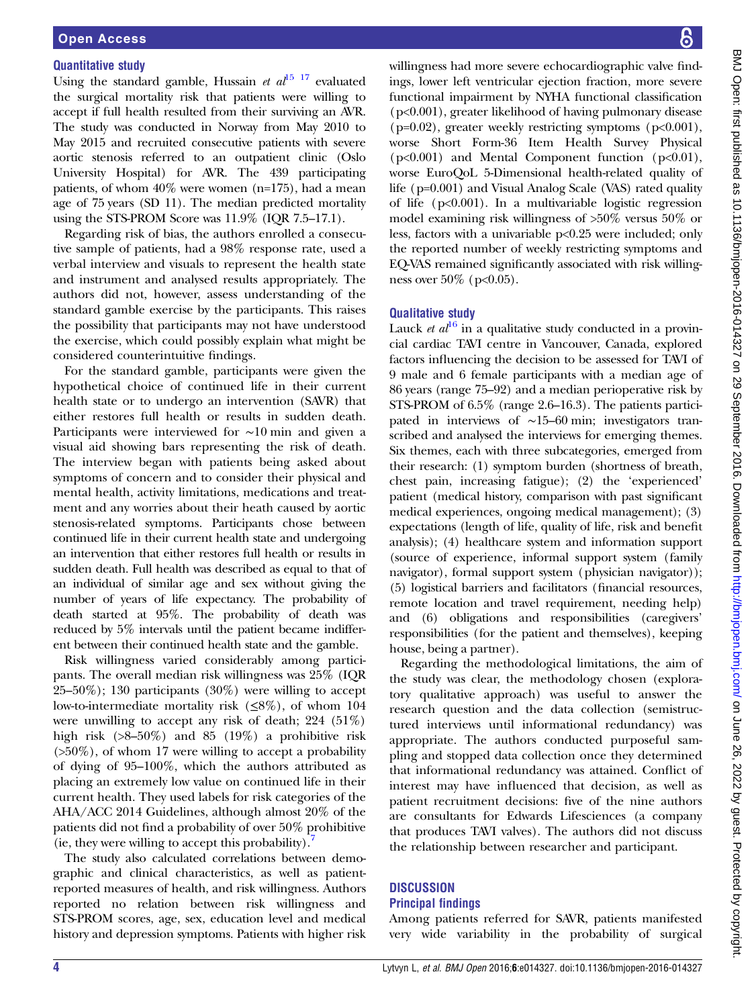#### Quantitative study

Using the standard gamble, Hussain et  $al^{15}$  17 evaluated the surgical mortality risk that patients were willing to accept if full health resulted from their surviving an AVR. The study was conducted in Norway from May 2010 to May 2015 and recruited consecutive patients with severe aortic stenosis referred to an outpatient clinic (Oslo University Hospital) for AVR. The 439 participating patients, of whom 40% were women (n=175), had a mean age of 75 years (SD 11). The median predicted mortality using the STS-PROM Score was 11.9% (IQR 7.5–17.1).

Regarding risk of bias, the authors enrolled a consecutive sample of patients, had a 98% response rate, used a verbal interview and visuals to represent the health state and instrument and analysed results appropriately. The authors did not, however, assess understanding of the standard gamble exercise by the participants. This raises the possibility that participants may not have understood the exercise, which could possibly explain what might be considered counterintuitive findings.

For the standard gamble, participants were given the hypothetical choice of continued life in their current health state or to undergo an intervention (SAVR) that either restores full health or results in sudden death. Participants were interviewed for ∼10 min and given a visual aid showing bars representing the risk of death. The interview began with patients being asked about symptoms of concern and to consider their physical and mental health, activity limitations, medications and treatment and any worries about their heath caused by aortic stenosis-related symptoms. Participants chose between continued life in their current health state and undergoing an intervention that either restores full health or results in sudden death. Full health was described as equal to that of an individual of similar age and sex without giving the number of years of life expectancy. The probability of death started at 95%. The probability of death was reduced by 5% intervals until the patient became indifferent between their continued health state and the gamble.

Risk willingness varied considerably among participants. The overall median risk willingness was 25% (IQR 25–50%); 130 participants (30%) were willing to accept low-to-intermediate mortality risk  $(\leq 8\%)$ , of whom 104 were unwilling to accept any risk of death; 224 (51%) high risk (>8–50%) and 85 (19%) a prohibitive risk  $(50\%)$ , of whom 17 were willing to accept a probability of dying of 95–100%, which the authors attributed as placing an extremely low value on continued life in their current health. They used labels for risk categories of the AHA/ACC 2014 Guidelines, although almost 20% of the patients did not find a probability of over 50% prohibitive (ie, they were willing to accept this probability). $'$ 

The study also calculated correlations between demographic and clinical characteristics, as well as patientreported measures of health, and risk willingness. Authors reported no relation between risk willingness and STS-PROM scores, age, sex, education level and medical history and depression symptoms. Patients with higher risk

BMJ Open: first published as 10.1136/bmijopen-2016-014327 on 29 September 2016. Downloaded from http://bmjopen.bmj.com/ on June 26, 2022 by guest. Protected by copyright BMJ Open: first published as 10.1136/bmjopen-2016-014327 on 29 September 2016. Downloaded from by by middished by and 26, 2022 by guest. Protected by copyright.

willingness had more severe echocardiographic valve findings, lower left ventricular ejection fraction, more severe functional impairment by NYHA functional classification (p<0.001), greater likelihood of having pulmonary disease  $(p=0.02)$ , greater weekly restricting symptoms  $(p<0.001)$ , worse Short Form-36 Item Health Survey Physical  $(p<0.001)$  and Mental Component function  $(p<0.01)$ , worse EuroQoL 5-Dimensional health-related quality of life (p=0.001) and Visual Analog Scale (VAS) rated quality of life  $(p<0.001)$ . In a multivariable logistic regression model examining risk willingness of >50% versus 50% or less, factors with a univariable p<0.25 were included; only the reported number of weekly restricting symptoms and EQ-VAS remained significantly associated with risk willingness over  $50\%$  (p<0.05).

#### Qualitative study

Lauck *et al*<sup>[16](#page-5-0)</sup> in a qualitative study conducted in a provincial cardiac TAVI centre in Vancouver, Canada, explored factors influencing the decision to be assessed for TAVI of 9 male and 6 female participants with a median age of 86 years (range 75–92) and a median perioperative risk by STS-PROM of 6.5% (range 2.6–16.3). The patients participated in interviews of ∼15–60 min; investigators transcribed and analysed the interviews for emerging themes. Six themes, each with three subcategories, emerged from their research: (1) symptom burden (shortness of breath, chest pain, increasing fatigue); (2) the 'experienced' patient (medical history, comparison with past significant medical experiences, ongoing medical management); (3) expectations (length of life, quality of life, risk and benefit analysis); (4) healthcare system and information support (source of experience, informal support system (family navigator), formal support system (physician navigator)); (5) logistical barriers and facilitators (financial resources, remote location and travel requirement, needing help) and (6) obligations and responsibilities (caregivers' responsibilities (for the patient and themselves), keeping house, being a partner).

Regarding the methodological limitations, the aim of the study was clear, the methodology chosen (exploratory qualitative approach) was useful to answer the research question and the data collection (semistructured interviews until informational redundancy) was appropriate. The authors conducted purposeful sampling and stopped data collection once they determined that informational redundancy was attained. Conflict of interest may have influenced that decision, as well as patient recruitment decisions: five of the nine authors are consultants for Edwards Lifesciences (a company that produces TAVI valves). The authors did not discuss the relationship between researcher and participant.

#### **DISCUSSION**

#### Principal findings

Among patients referred for SAVR, patients manifested very wide variability in the probability of surgical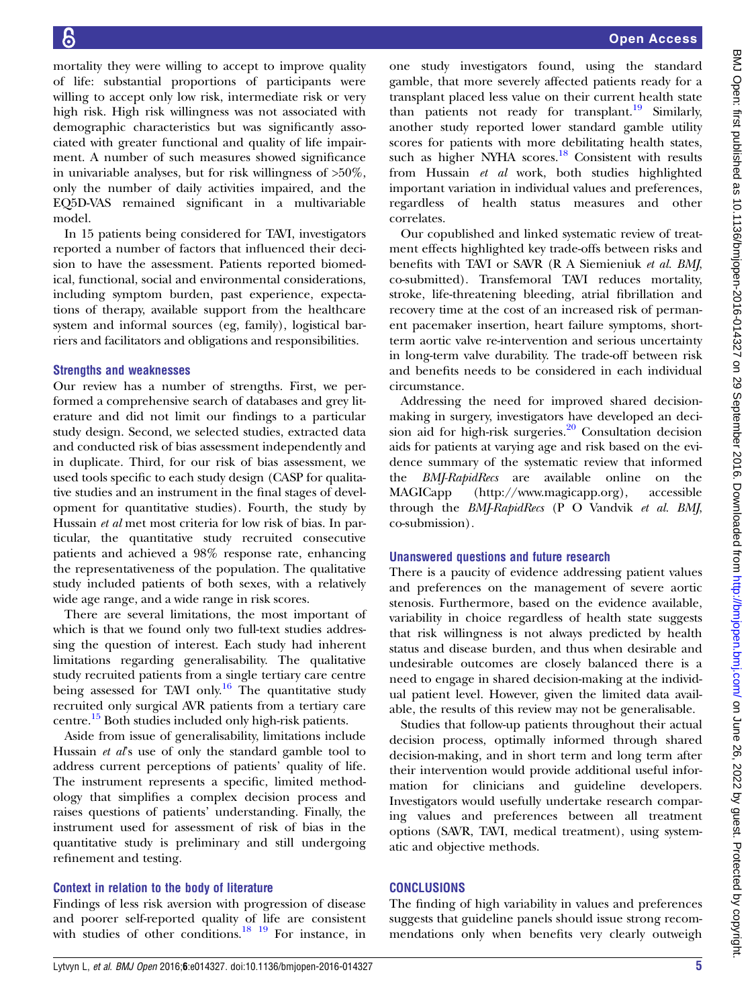mortality they were willing to accept to improve quality of life: substantial proportions of participants were willing to accept only low risk, intermediate risk or very high risk. High risk willingness was not associated with demographic characteristics but was significantly associated with greater functional and quality of life impairment. A number of such measures showed significance in univariable analyses, but for risk willingness of >50%, only the number of daily activities impaired, and the EQ5D-VAS remained significant in a multivariable model.

In 15 patients being considered for TAVI, investigators reported a number of factors that influenced their decision to have the assessment. Patients reported biomedical, functional, social and environmental considerations, including symptom burden, past experience, expectations of therapy, available support from the healthcare system and informal sources (eg, family), logistical barriers and facilitators and obligations and responsibilities.

#### Strengths and weaknesses

Our review has a number of strengths. First, we performed a comprehensive search of databases and grey literature and did not limit our findings to a particular study design. Second, we selected studies, extracted data and conducted risk of bias assessment independently and in duplicate. Third, for our risk of bias assessment, we used tools specific to each study design (CASP for qualitative studies and an instrument in the final stages of development for quantitative studies). Fourth, the study by Hussain et al met most criteria for low risk of bias. In particular, the quantitative study recruited consecutive patients and achieved a 98% response rate, enhancing the representativeness of the population. The qualitative study included patients of both sexes, with a relatively wide age range, and a wide range in risk scores.

There are several limitations, the most important of which is that we found only two full-text studies addressing the question of interest. Each study had inherent limitations regarding generalisability. The qualitative study recruited patients from a single tertiary care centre being assessed for TAVI only.<sup>[16](#page-5-0)</sup> The quantitative study recruited only surgical AVR patients from a tertiary care centre.<sup>[15](#page-5-0)</sup> Both studies included only high-risk patients.

Aside from issue of generalisability, limitations include Hussain *et al's* use of only the standard gamble tool to address current perceptions of patients' quality of life. The instrument represents a specific, limited methodology that simplifies a complex decision process and raises questions of patients' understanding. Finally, the instrument used for assessment of risk of bias in the quantitative study is preliminary and still undergoing refinement and testing.

#### Context in relation to the body of literature

Findings of less risk aversion with progression of disease and poorer self-reported quality of life are consistent with studies of other conditions.<sup>18</sup> <sup>19</sup> For instance, in one study investigators found, using the standard gamble, that more severely affected patients ready for a transplant placed less value on their current health state than patients not ready for transplant. $19$  Similarly, another study reported lower standard gamble utility scores for patients with more debilitating health states, such as higher NYHA scores.<sup>[18](#page-5-0)</sup> Consistent with results from Hussain et al work, both studies highlighted important variation in individual values and preferences, regardless of health status measures and other correlates.

Our copublished and linked systematic review of treatment effects highlighted key trade-offs between risks and benefits with TAVI or SAVR (R A Siemieniuk et al. BMJ, co-submitted). Transfemoral TAVI reduces mortality, stroke, life-threatening bleeding, atrial fibrillation and recovery time at the cost of an increased risk of permanent pacemaker insertion, heart failure symptoms, shortterm aortic valve re-intervention and serious uncertainty in long-term valve durability. The trade-off between risk and benefits needs to be considered in each individual circumstance.

Addressing the need for improved shared decisionmaking in surgery, investigators have developed an decision aid for high-risk surgeries. $20$  Consultation decision aids for patients at varying age and risk based on the evidence summary of the systematic review that informed the BMJ-RapidRecs are available online on the MAGICapp [\(http://www.magicapp.org](http://www.magicapp.org)), accessible through the BMJ-RapidRecs (P O Vandvik et al. BMJ, co-submission).

#### Unanswered questions and future research

There is a paucity of evidence addressing patient values and preferences on the management of severe aortic stenosis. Furthermore, based on the evidence available, variability in choice regardless of health state suggests that risk willingness is not always predicted by health status and disease burden, and thus when desirable and undesirable outcomes are closely balanced there is a need to engage in shared decision-making at the individual patient level. However, given the limited data available, the results of this review may not be generalisable.

Studies that follow-up patients throughout their actual decision process, optimally informed through shared decision-making, and in short term and long term after their intervention would provide additional useful information for clinicians and guideline developers. Investigators would usefully undertake research comparing values and preferences between all treatment options (SAVR, TAVI, medical treatment), using systematic and objective methods.

#### CONCLUSIONS

The finding of high variability in values and preferences suggests that guideline panels should issue strong recommendations only when benefits very clearly outweigh